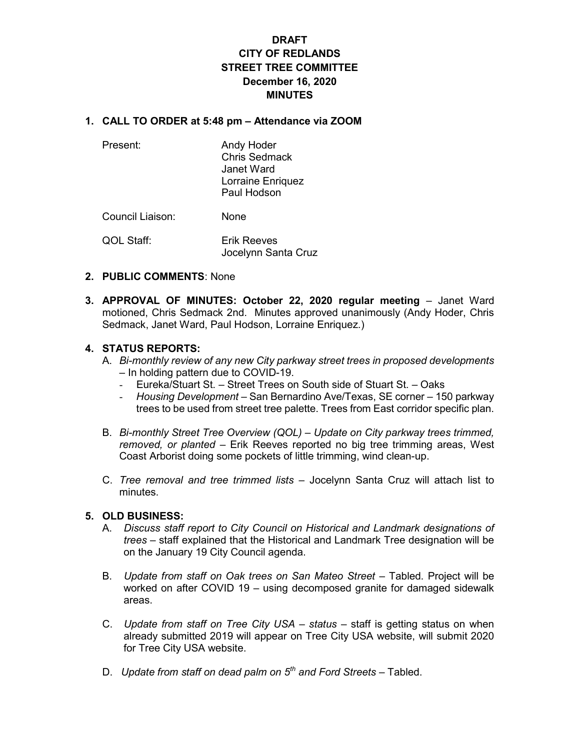# DRAFT CITY OF REDLANDS STREET TREE COMMITTEE December 16, 2020 MINUTES

#### 1. CALL TO ORDER at 5:48 pm – Attendance via ZOOM

 Present: Andy Hoder Chris Sedmack Janet Ward Lorraine Enriquez Paul Hodson

Council Liaison: None

 QOL Staff: Erik Reeves Jocelynn Santa Cruz

#### 2. PUBLIC COMMENTS: None

3. APPROVAL OF MINUTES: October 22, 2020 regular meeting – Janet Ward motioned, Chris Sedmack 2nd. Minutes approved unanimously (Andy Hoder, Chris Sedmack, Janet Ward, Paul Hodson, Lorraine Enriquez.)

#### 4. STATUS REPORTS:

- A. Bi-monthly review of any new City parkway street trees in proposed developments – In holding pattern due to COVID-19.
	- Eureka/Stuart St. Street Trees on South side of Stuart St. Oaks
	- Housing Development San Bernardino Ave/Texas, SE corner 150 parkway trees to be used from street tree palette. Trees from East corridor specific plan.
- B. Bi-monthly Street Tree Overview (QOL) Update on City parkway trees trimmed, removed, or planted – Erik Reeves reported no big tree trimming areas, West Coast Arborist doing some pockets of little trimming, wind clean-up.
- C. Tree removal and tree trimmed lists Jocelynn Santa Cruz will attach list to minutes.

#### 5. OLD BUSINESS:

- A. Discuss staff report to City Council on Historical and Landmark designations of trees – staff explained that the Historical and Landmark Tree designation will be on the January 19 City Council agenda.
- B. Update from staff on Oak trees on San Mateo Street Tabled. Project will be worked on after COVID 19 – using decomposed granite for damaged sidewalk areas.
- C. Update from staff on Tree City USA status staff is getting status on when already submitted 2019 will appear on Tree City USA website, will submit 2020 for Tree City USA website.
- D. Update from staff on dead palm on  $5<sup>th</sup>$  and Ford Streets Tabled.